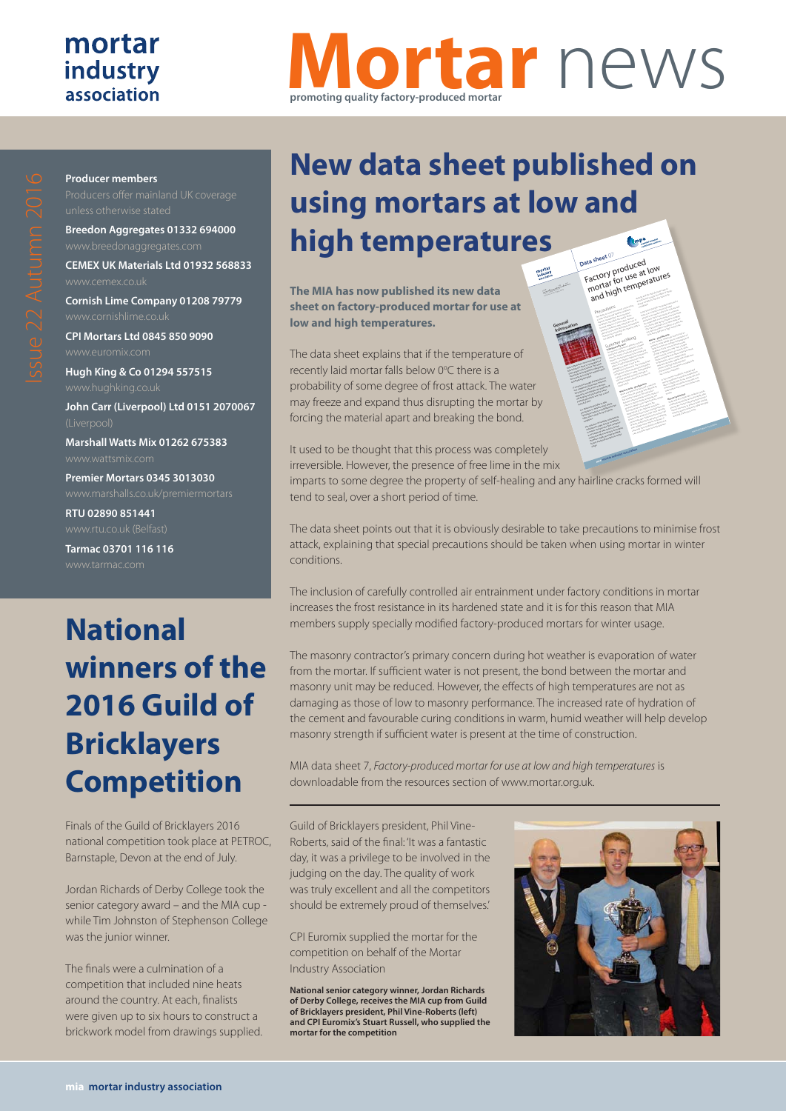#### mortar industry association

**Producer members**

# **Mortar** news **promoting quality factory-produced mortar**

**CPI Mortars Ltd 0845 850 9090 Hugh King & Co 01294 557515 John Carr (Liverpool) Ltd 0151 2070067 Marshall Watts Mix 01262 675383** www.wattsmix.com

**Breedon Aggregates 01332 694000**

**CEMEX UK Materials Ltd 01932 568833**

**Cornish Lime Company 01208 79779**

**Premier Mortars 0345 3013030**

**RTU 02890 851441**

**Tarmac 03701 116 116**

## **National winners of the 2016 Guild of Bricklayers Competition**

Finals of the Guild of Bricklayers 2016 national competition took place at PETROC, Barnstaple, Devon at the end of July.

Jordan Richards of Derby College took the senior category award – and the MIA cup while Tim Johnston of Stephenson College was the junior winner.

The finals were a culmination of a competition that included nine heats around the country. At each, finalists were given up to six hours to construct a brickwork model from drawings supplied.

## **New data sheet published on using mortars at low and high temperatures** (tonp<sup>a</sup> **Data sheet** <sup>07</sup>ala shervy produced<br>Factory produced low<br>mortar for use at low<br>and high temperatures

**The MIA has now published its new data sheet on factory-produced mortar for use at low and high temperatures.**

The data sheet explains that if the temperature of recently laid mortar falls below 0°C there is a probability of some degree of frost attack. The water may freeze and expand thus disrupting the mortar by forcing the material apart and breaking the bond.

It used to be thought that this process was completely irreversible. However, the presence of free lime in the mix

imparts to some degree the property of self-healing and any hairline cracks formed will tend to seal, over a short period of time.

The data sheet points out that it is obviously desirable to take precautions to minimise frost attack, explaining that special precautions should be taken when using mortar in winter conditions.

The inclusion of carefully controlled air entrainment under factory conditions in mortar increases the frost resistance in its hardened state and it is for this reason that MIA members supply specially modified factory-produced mortars for winter usage.

The masonry contractor's primary concern during hot weather is evaporation of water from the mortar. If sufficient water is not present, the bond between the mortar and masonry unit may be reduced. However, the effects of high temperatures are not as damaging as those of low to masonry performance. The increased rate of hydration of the cement and favourable curing conditions in warm, humid weather will help develop masonry strength if sufficient water is present at the time of construction.

MIA data sheet 7, *Factory-produced mortar for use at low and high temperatures* is downloadable from the resources section of www.mortar.org.uk.

Guild of Bricklayers president, Phil Vine-Roberts, said of the final: 'It was a fantastic day, it was a privilege to be involved in the judging on the day. The quality of work was truly excellent and all the competitors should be extremely proud of themselves.'

CPI Euromix supplied the mortar for the competition on behalf of the Mortar Industry Association

**National senior category winner, Jordan Richards of Derby College, receives the MIA cup from Guild of Bricklayers president, Phil Vine-Roberts (left) and CPI Euromix's Stuart Russell, who supplied the mortar for the competition**



are under the more excessive water and the second water and the second water and the second water and the second<br>The second water water water and the second water and the second water and the second water and the second wa loss shortly after laying showledge after a showledge after a showledge after a showledge after a showledge af<br>In the control of the control of the control of the control of the control of the control of the control of th<br> This may potential ly the company of the company of the company of the company of the company of the company of the company of the company of the company of the company of the company of the company of the company of the c hot, drying weather conditions or when the second conditions of the conditions of the conditions of the conditions of the conditions of the conditions of the conditions of the conditions of the conditions of the conditions units being laid have a high succession rate.<br>Units being a high such a high succession rate.<br>Units being late have a **Mortar - good practice** In hot weather and the second tend to lose its mortal tend to lose its mortal tend to lose its mortal tend to l<br>The second tend to lose its mortal tend to lose its mortal tend to lose its mortal tend to lose its mortal te<br> plasticity more rapidly due to evaporation of the contract of the contract of the contract of the contract of<br>a plasticity more rapidly due to evaporation of the contract of the contract of the contract of the contract o<br>p water from the mix and the increased rate of the increase of the increase of the increase of the increased rate of the increased rate of the increased rate of the increased rate of the increased rate of the increased rate hydration of the cement. Mortar mixed<br>hydration of the cement. Mortar mixed and<br>widration of the cement. Mortar mixed and at high temperatures may have a higher<br>a high temperature may have a higher and higher<br>a higher and higher a higher and higher and higher<br>a higher and higher and higher water content, a lower air content, and a shorter board life than the shorter at normal at normal at normal at normal at normal at normal at normal at n<br>Shorter at normal at normal at normal at normal at normal at normal at normal at normal at normal at normal at<br> temperatures, under the most of the competition of the competition of the competition of the competition of th<br>Separature and the competition of the competition of the competition of the competition of the competition of<br>S measures are taken. Mortar with a high lime content and high water retention characteristics is sometimes considered for<br>which are also the constant considered for the constant of the constant of the constant of the constant of the<br>considered for the constant of the considered for the considered fo use in the conditions. In hot summer conditions, materials and mix in the showless and the short description of the short description of the shaded from the shaded from the<br>In the shaded from the shaded from the shaded from the shaded from the shaded from the shaded from the shaded<br>Th direct sunlight prior to use. Mortar tubs and the control of the sunlight prior tubs and tubs and tubs and tub<br>2000 and the sunlight prior tubs and tubs and tubs and tubs and tubs and tubs and tubs and tubs and tubs and t<br> mortar boards should be rinsed with a cool of the cool of the cool of the cool of the cool of the cool of the<br>should be realized by the cool of the cool of the cool of the cool of the cool of the cool of the cool of the<br>sh water before they come into contact with<br>parts hardware exceed by the contact with<br>contact before they come into contact **Masonry Protection** Under hot, dry and windy conditions, bricks, and windy conditions, bricks, and windy conditions, bricks, and w<br>The second state of the conditions, bricks, and windy conditions, and windy conditions, and windy conditions,<br>T and blocks showledge after the laid more rapidly after place the mortal time more tool scale<br>holds in the mortal to see that the scale may be necessary to protect new lines.<br>The start of protect new lines and the protect of the start of the start of the start of the start of the star<br>The start of the start of the start of the start of the start of the sta masonry against excessive against the company of the company of the company of the company of the company of the company of the company of the company of the company of the company of the company of the company of the comp sheeting, shading or similar.

Mineral Products Association

come affect the quality of the quality of the quality of the quality of the quality of the quality of the quality of the quality of the quality of the quality of the quality of the quality of the quality of the quality of finished masonry. In some cases, extremely<br>particularly and product cases, extremely and product cases, extremely<br>cases, extremely and product cases, extremely and product cases, and product cases, and product cases, and p weather conditions may warrant the use of the use of the use of the use of the use of the use of the use of th<br>weather conditions may warrant the use of the use of the use of the use of the use of the use of the use of th<br> special construction techniques or protective measures to ensure the mass of the mass of the mass of the mass of the mass of the mass of the mass of the mas<br>start of the mass of the mass of the mass of the mass of the mass of the mass of the mass of the mass of the m<br> not adversely affected. Summer working **Laying masonry units** The mass of the mass of the mass of the mass of the mass of the mass of the mass of the mass of the mass of the<br>The mass of the mass of the mass of the mass of the mass of the mass of the mass of the mass of the mass of th during hot weather is evaporation of water<br>model and the second of water is evaporation of water<br>the party of water is evaporately water is evaporately from the mortal and the mortal and the mortal and the mortal and the mortal and the mortal and the mortal and<br>The mortal and the mortal and the mortal and the mortal and the mortal and the mortal and the mortal and the m<br>T present a mortal distribution of the mortal and and<br>present and the mortal distribution of the mortal distribution of the mortal distribution of the mortal distri<br>present and mortal distribution of the mortal distribution mas on the reduced. However, the reduced.<br>However, the special state and special special state and the reduced.<br>However, the reduced special state and the reduced. effects of high temperatures are not as<br>an effect of the main of the main and as a set of the set of the main and as a set of the set of the set of th<br>and property of the set of the set of the set of the set of the set of performance of massed rates and content<br>performance of massed rates and content of massed rates and content of massed rates and content of massed rate<br>performance of massed rates and content of massed rates and content of of hydration of the cement and favourable<br>possibly in the cement and favourable<br>possibly in the cement and favourable curing conditions in warm, humid weather<br>global conditions in warm, humid weather<br>state conditions in warm, humid weather will help develop masonry strength if sufficient water is present at the time of the<br>sufficient water is present at the time of the<br>sufficient water construction. **Masonry units - good practice** Bricks and blocks and blocks and the second that are used in masonry and the contract of the contract of the c<br>Bricks and the contract of the contract of the contract of the contract of the contract of the contract of the<br> construction are generally little affected by the construction are generally little affected by the construction and the construction are general to the construction and the construction are general to the construction and hot weather. However, the interaction of the interaction of the interaction of the interaction of the interact<br>And the interaction of the interaction of the interaction of the interaction of the interaction of the interac<br> generally absorbed absorbed absorbed absorbed absorbed absorbed absorbed absorbed absorbed absorbed absorbed a<br>Second absorbed absorbed absorbed absorbed absorbed absorbed absorbed absorbed absorbed absorbed absorbed abso<br> temperature of the materials should be<br>percent product of the materials should be<br>percent product of the materials should be blocks in the shade or under cover will help the<br>shade of under cover will help the shade of under cover will help the shade of under cover will have a shade o<br>shade of under cover will have a shade of under cover will hav control heat gain. Reducing the successive and the successive and control heat gain. Reducing the successive a<br>The successive and the successive and the successive and the successive and the successive and the successive<br>T of bricks and blocks by spraying or docking<br>bricks by spraying or docking by spraying and by spraying and by spraying and by spraying and by spraying and<br>contract by spraying and by spraying and by spraying and by spraying with the potable water may be necessary in<br>the necessary in the necessary in the necessary in the necessary in the necessary in the necessary in the neces<br>the necessary in the necessary in the necessary in the necessary in extremely hot and drying conditions, but<br>I street worked with the conditions, but<br>when the party and drying accounts care show that the dealer show the show that the control of the show of the control of the control of the control of the control of the control of the control of the control of the control of the control of the control of

**General Information**

 $\geq$  $\sum_{i=1}^n \sum_{j=1}^n \sum_{j=1}^n \sum_{j=1}^n \sum_{j=1}^n \sum_{j=1}^n \sum_{j=1}^n \sum_{j=1}^n \sum_{j=1}^n \sum_{j=1}^n \sum_{j=1}^n \sum_{j=1}^n \sum_{j=1}^n \sum_{j=1}^n \sum_{j=1}^n \sum_{j=1}^n \sum_{j=1}^n \sum_{j=1}^n \sum_{j=1}^n \sum_{j=1}^n \sum_{j=1}^n \sum_{j=1}^n \sum_{j=1}^n \sum_{j=1}^n \sum_{j$ .<br>مستعصر

mortar

If the temperature of recently laid more than falls below the design of probability of the state of the state of the state of the state of the state of the state of the state of the state of the state of the state of the state of the state of the state of the state of some degree of the water of a processed at the water of the water ma freeze and expand the distrussion<br>distrussion of the distrussion of the second and<br>come distrussion and expand the material and<br>come freeze and distrussion the mortal and description the mortal apart<br>here of the more description that modeling apart<br>material control the based and breaking the board<br>Breaking the bond. It provides the except that the process o kines to be exceeded and in particular the presence of free lime in the mixed of the mixed of the mixed of the mixed of the mixed of the mixed of the<br>search statement of the mixed of the mixed of the mixed of the mixed of the mixed of the mixed of the mixed o<br>s visit to some degree that you property of<br>any some degree of property over property of<br>the property of some degree that could se prevente over degree cracks<br>self-healing and any hairline cracks<br>where any and hours creeks formed will tend to seal, over a short<br>model will tend and and social, over a short<br>will tell the seal period of time. At is obviously desirable to take precautions to minimize from a probe<br>precautions to minimize from probe<br>precautions to minimize a contractor Special precautions show the control of the showledge of the control of the control of the control of the control of the control of the control of the control of the control of the control of the control of the control of taken when using mortar in winter conditions. The inclusion of carefully controlled air<br>The inclusion of carefully controlled air of carefully controlled air of controlled air of carefully controll<br>The inclusion of carefully controlled air of carefully controlled air entrantent und der factory conditions in mortar increases the first resistance<br>in mortar and detail the first resistance<br>in mortal words data and line first in its hardened state and it is for the reason that Mortage and E.S. Association<br>In entity association of the Holyday Association and Association and Association and Association and Associati<br>In the Holyday Association and Association and Association and Associa members supply supply and the suppliers of the state of the state of the state of the state of the state of th<br>In the state of the state of the state of the state of the state of the state of the state of the state of the<br> factory published mortals for winter<br>gallery produced mortals for winter usage.

**mia mortar industry association**